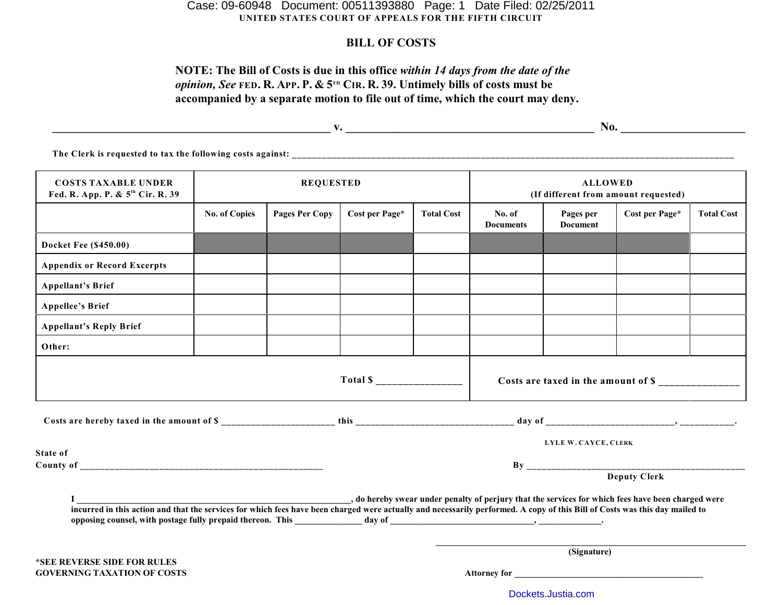# **UNITED STATES COURT OF APPEALS FOR THE FIFTH CIRCUIT** Case: 09-60948 Document: 00511393880 Page: 1 Date Filed: 02/25/2011

# **BILL OF COSTS**

# **NOTE: The Bill of Costs is due in this office** *within 14 days from the date of the opinion, See* **FED. R. APP. P. & 5<sup>TH</sup> CIR. R. 39. Untimely bills of costs must be accompanied by a separate motion to file out of time, which the court may deny.**

**\_\_\_\_\_\_\_\_\_\_\_\_\_\_\_\_\_\_\_\_\_\_\_\_\_\_\_\_\_\_\_\_\_\_\_\_\_\_\_\_\_\_\_\_\_\_\_ v. \_\_\_\_\_\_\_\_\_\_\_\_\_\_\_\_\_\_\_\_\_\_\_\_\_\_\_\_\_\_\_\_\_\_\_\_\_\_\_\_\_\_ No. \_\_\_\_\_\_\_\_\_\_\_\_\_\_\_\_\_\_\_\_\_**

**The Clerk is requested to tax the following costs against: \_\_\_\_\_\_\_\_\_\_\_\_\_\_\_\_\_\_\_\_\_\_\_\_\_\_\_\_\_\_\_\_\_\_\_\_\_\_\_\_\_\_\_\_\_\_\_\_\_\_\_\_\_\_\_\_\_\_\_\_\_\_\_\_\_\_\_\_\_\_\_\_\_\_\_\_\_\_\_\_\_\_\_\_\_\_\_\_\_**

| <b>COSTS TAXABLE UNDER</b><br>Fed. R. App. P. & 5 <sup>th</sup> Cir. R. 39                                                                                                  | <b>REQUESTED</b>     |                       |                      |                   | <b>ALLOWED</b><br>(If different from amount requested) |                              |                |                   |  |
|-----------------------------------------------------------------------------------------------------------------------------------------------------------------------------|----------------------|-----------------------|----------------------|-------------------|--------------------------------------------------------|------------------------------|----------------|-------------------|--|
|                                                                                                                                                                             | <b>No. of Copies</b> | <b>Pages Per Copy</b> | Cost per Page*       | <b>Total Cost</b> | No. of<br><b>Documents</b>                             | Pages per<br><b>Document</b> | Cost per Page* | <b>Total Cost</b> |  |
| <b>Docket Fee (\$450.00)</b>                                                                                                                                                |                      |                       |                      |                   |                                                        |                              |                |                   |  |
| <b>Appendix or Record Excerpts</b>                                                                                                                                          |                      |                       |                      |                   |                                                        |                              |                |                   |  |
| <b>Appellant's Brief</b>                                                                                                                                                    |                      |                       |                      |                   |                                                        |                              |                |                   |  |
| <b>Appellee's Brief</b>                                                                                                                                                     |                      |                       |                      |                   |                                                        |                              |                |                   |  |
| <b>Appellant's Reply Brief</b>                                                                                                                                              |                      |                       |                      |                   |                                                        |                              |                |                   |  |
| Other:                                                                                                                                                                      |                      |                       |                      |                   |                                                        |                              |                |                   |  |
| Total $\sum_{-}$                                                                                                                                                            |                      |                       |                      |                   | Costs are taxed in the amount of \$                    |                              |                |                   |  |
|                                                                                                                                                                             |                      |                       |                      |                   |                                                        |                              |                |                   |  |
| State of                                                                                                                                                                    |                      |                       | LYLE W. CAYCE, CLERK |                   |                                                        |                              |                |                   |  |
|                                                                                                                                                                             |                      |                       |                      |                   |                                                        |                              |                |                   |  |
|                                                                                                                                                                             |                      |                       |                      |                   |                                                        |                              | Deputy Clerk   |                   |  |
| incurred in this action and that the services for which fees have been charged were actually and necessarily performed. A copy of this Bill of Costs was this day mailed to |                      |                       |                      |                   |                                                        |                              |                |                   |  |
| *SEE REVERSE SIDE FOR RULES                                                                                                                                                 |                      |                       |                      |                   | (Signature)                                            |                              |                |                   |  |
| <b>GOVERNING TAXATION OF COSTS</b>                                                                                                                                          |                      |                       |                      |                   | <b>Attorney for</b>                                    |                              |                |                   |  |

[Dockets.Justia.com](http://dockets.justia.com/)